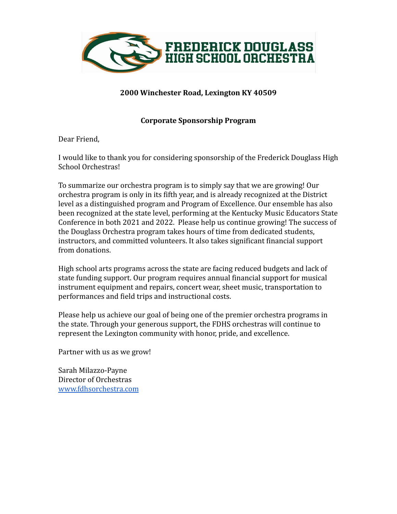

## **2000 Winchester Road, Lexington KY 40509**

## **Corporate Sponsorship Program**

Dear Friend,

I would like to thank you for considering sponsorship of the Frederick Douglass High School Orchestras!

To summarize our orchestra program is to simply say that we are growing! Our orchestra program is only in its fifth year, and is already recognized at the District level as a distinguished program and Program of Excellence. Our ensemble has also been recognized at the state level, performing at the Kentucky Music Educators State Conference in both 2021 and 2022. Please help us continue growing! The success of the Douglass Orchestra program takes hours of time from dedicated students, instructors, and committed volunteers. It also takes significant financial support from donations.

High school arts programs across the state are facing reduced budgets and lack of state funding support. Our program requires annual financial support for musical instrument equipment and repairs, concert wear, sheet music, transportation to performances and field trips and instructional costs.

Please help us achieve our goal of being one of the premier orchestra programs in the state. Through your generous support, the FDHS orchestras will continue to represent the Lexington community with honor, pride, and excellence.

Partner with us as we grow!

Sarah Milazzo-Payne Director of Orchestras [www.fdhsorchestra.com](http://www.fdhsorchestra.com)